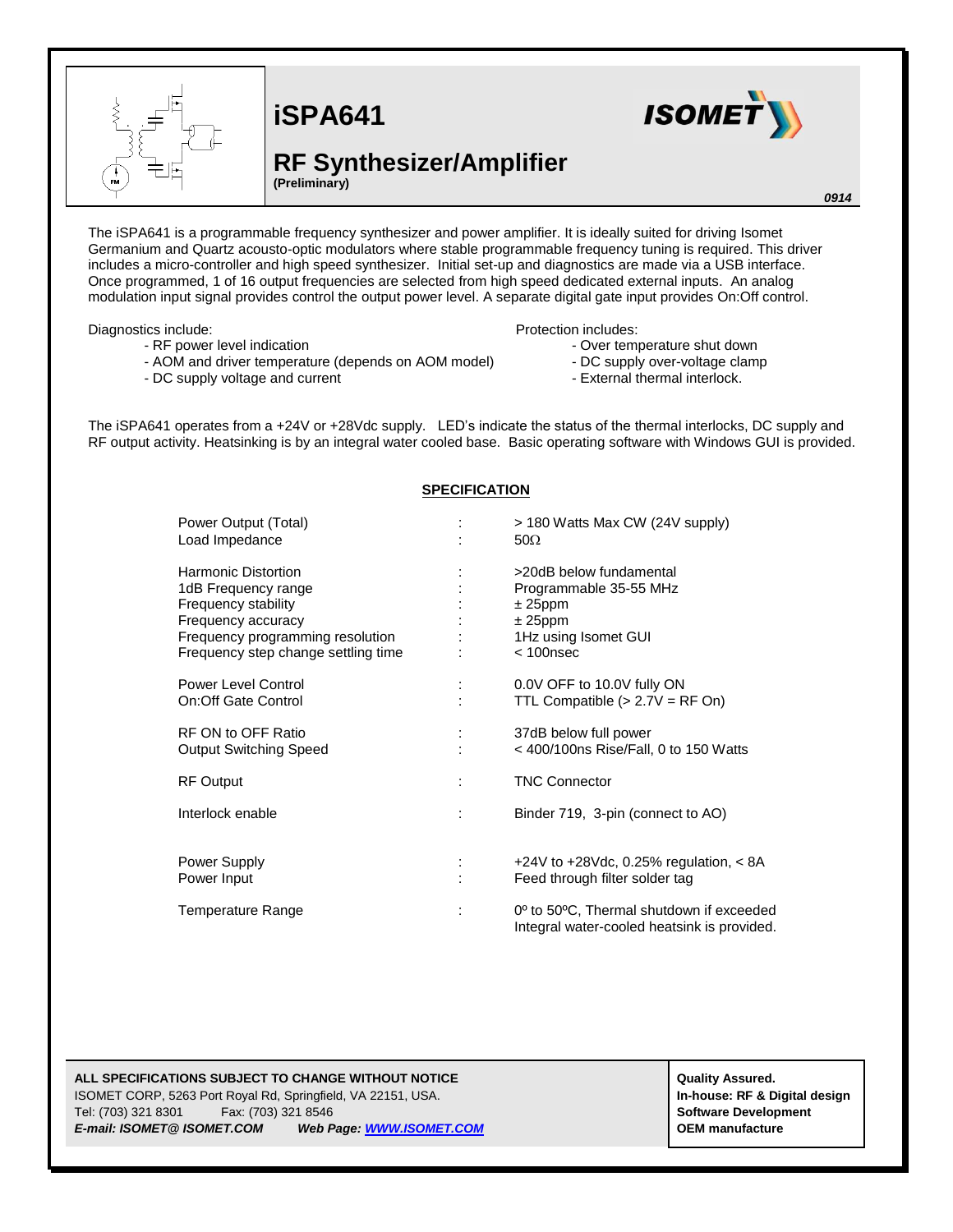

# **iSPA641**

## **RF Synthesizer/Amplifier**

**(Preliminary)**

**ISOMET** 

#### *0914*

The iSPA641 is a programmable frequency synthesizer and power amplifier. It is ideally suited for driving Isomet Germanium and Quartz acousto-optic modulators where stable programmable frequency tuning is required. This driver includes a micro-controller and high speed synthesizer. Initial set-up and diagnostics are made via a USB interface. Once programmed, 1 of 16 output frequencies are selected from high speed dedicated external inputs. An analog modulation input signal provides control the output power level. A separate digital gate input provides On:Off control.

Diagnostics include:

- RF power level indication
	-
- AOM and driver temperature (depends on AOM model) - DC supply voltage and current
- DC supply over-voltage clamp

Protection includes:

- External thermal interlock.

- Over temperature shut down

The iSPA641 operates from a +24V or +28Vdc supply. LED's indicate the status of the thermal interlocks, DC supply and RF output activity. Heatsinking is by an integral water cooled base. Basic operating software with Windows GUI is provided.

## **SPECIFICATION**

| Power Output (Total)<br>Load Impedance                                                                                                                                    | > 180 Watts Max CW (24V supply)<br>$50\Omega$                                                                         |
|---------------------------------------------------------------------------------------------------------------------------------------------------------------------------|-----------------------------------------------------------------------------------------------------------------------|
| <b>Harmonic Distortion</b><br>1dB Frequency range<br>Frequency stability<br>Frequency accuracy<br>Frequency programming resolution<br>Frequency step change settling time | >20dB below fundamental<br>Programmable 35-55 MHz<br>$± 25$ ppm<br>$± 25$ ppm<br>1Hz using Isomet GUI<br>$< 100$ nsec |
| Power Level Control<br>On:Off Gate Control                                                                                                                                | 0.0V OFF to 10.0V fully ON<br>TTL Compatible $(> 2.7V = RF On)$                                                       |
| RF ON to OFF Ratio<br><b>Output Switching Speed</b>                                                                                                                       | 37dB below full power<br>$<$ 400/100ns Rise/Fall, 0 to 150 Watts                                                      |
| <b>RF Output</b>                                                                                                                                                          | <b>TNC Connector</b>                                                                                                  |
| Interlock enable                                                                                                                                                          | Binder 719, 3-pin (connect to AO)                                                                                     |
| Power Supply<br>Power Input                                                                                                                                               | $+24V$ to $+28V$ dc, 0.25% regulation, $< 8A$<br>Feed through filter solder tag                                       |
| Temperature Range                                                                                                                                                         | 0 <sup>o</sup> to 50°C, Thermal shutdown if exceeded<br>Integral water-cooled heatsink is provided.                   |

## **ALL SPECIFICATIONS SUBJECT TO CHANGE WITHOUT NOTICE And CONTACT ASSURANT CONTRACT ASSURANT ASSURED.**

ISOMET CORP, 5263 Port Royal Rd, Springfield, VA 22151, USA. **In-house: RF & Digital design** Tel: (703) 321 8301 Fax: (703) 321 8546 **Software Development** *E-mail: ISOMET@ ISOMET.COM Web Page[: WWW.ISOMET.COM](http://www.isomet.com/)* **OEM manufacture**